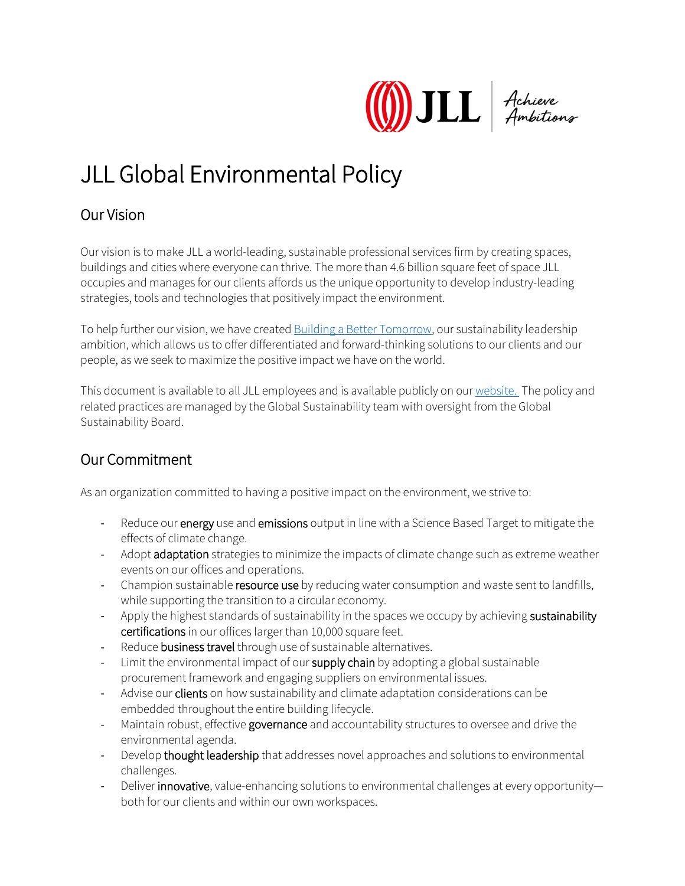

## JLL Global Environmental Policy

## Our Vision

Our vision is to make JLL a world-leading, sustainable professional services firm by creating spaces, buildings and cities where everyone can thrive. The more than 4.6 billion square feet of space JLL occupies and manages for our clients affords us the unique opportunity to develop industry-leading strategies, tools and technologies that positively impact the environment.

To help further our vision, we have created [Building a Better Tomorrow,](https://www.us.jll.com/en/about-jll/our-sustainability-leadership) our sustainability leadership ambition, which allows us to offer differentiated and forward-thinking solutions to our clients and our people, as we seek to maximize the positive impact we have on the world.

This document is available to all JLL employees and is available publicly on our [website.](https://www.jll.co.uk/en/about-jll/company-information) The policy and related practices are managed by the Global Sustainability team with oversight from the Global Sustainability Board.

## Our Commitment

As an organization committed to having a positive impact on the environment, we strive to:

- Reduce our energy use and emissions output in line with a Science Based Target to mitigate the effects of climate change.
- Adopt adaptation strategies to minimize the impacts of climate change such as extreme weather events on our offices and operations.
- Champion sustainable resource use by reducing water consumption and waste sent to landfills, while supporting the transition to a circular economy.
- Apply the highest standards of sustainability in the spaces we occupy by achieving sustainability certifications in our offices larger than 10,000 square feet.
- Reduce business travel through use of sustainable alternatives.
- Limit the environmental impact of our supply chain by adopting a global sustainable procurement framework and engaging suppliers on environmental issues.
- Advise our **clients** on how sustainability and climate adaptation considerations can be embedded throughout the entire building lifecycle.
- Maintain robust, effective governance and accountability structures to oversee and drive the environmental agenda.
- Develop thought leadership that addresses novel approaches and solutions to environmental challenges.
- Deliver innovative, value-enhancing solutions to environmental challenges at every opportunityboth for our clients and within our own workspaces.